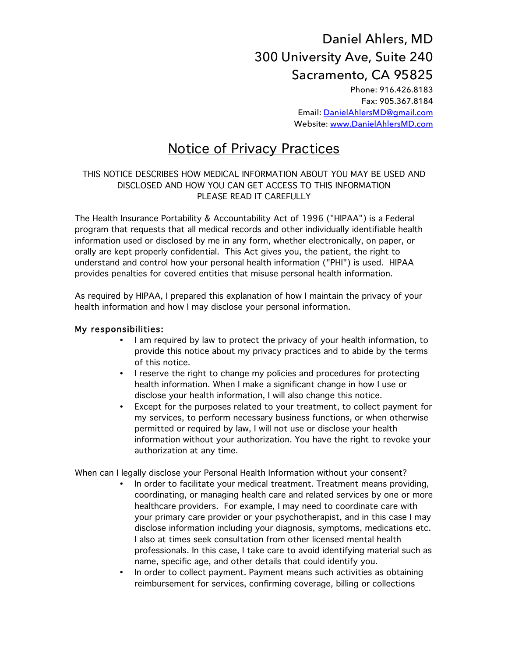## Daniel Ahlers, MD 300 University Ave, Suite 240 Sacramento, CA 95825

Phone: 916.426.8183 Fax: 905.367.8184 Email: DanielAhlersMD@gmail.com Website: www.DanielAhlersMD.com

## Notice of Privacy Practices

## THIS NOTICE DESCRIBES HOW MEDICAL INFORMATION ABOUT YOU MAY BE USED AND DISCLOSED AND HOW YOU CAN GET ACCESS TO THIS INFORMATION PLEASE READ IT CAREFULLY

The Health Insurance Portability & Accountability Act of 1996 ("HIPAA") is a Federal program that requests that all medical records and other individually identifiable health information used or disclosed by me in any form, whether electronically, on paper, or orally are kept properly confidential. This Act gives you, the patient, the right to understand and control how your personal health information ("PHI") is used. HIPAA provides penalties for covered entities that misuse personal health information.

As required by HIPAA, I prepared this explanation of how I maintain the privacy of your health information and how I may disclose your personal information.

## My responsibilities:

- I am required by law to protect the privacy of your health information, to provide this notice about my privacy practices and to abide by the terms of this notice.
- I reserve the right to change my policies and procedures for protecting health information. When I make a significant change in how I use or disclose your health information, I will also change this notice.
- Except for the purposes related to your treatment, to collect payment for my services, to perform necessary business functions, or when otherwise permitted or required by law, I will not use or disclose your health information without your authorization. You have the right to revoke your authorization at any time.

When can I legally disclose your Personal Health Information without your consent?

- In order to facilitate your medical treatment. Treatment means providing, coordinating, or managing health care and related services by one or more healthcare providers. For example, I may need to coordinate care with your primary care provider or your psychotherapist, and in this case I may disclose information including your diagnosis, symptoms, medications etc. I also at times seek consultation from other licensed mental health professionals. In this case, I take care to avoid identifying material such as name, specific age, and other details that could identify you.
- In order to collect payment. Payment means such activities as obtaining reimbursement for services, confirming coverage, billing or collections